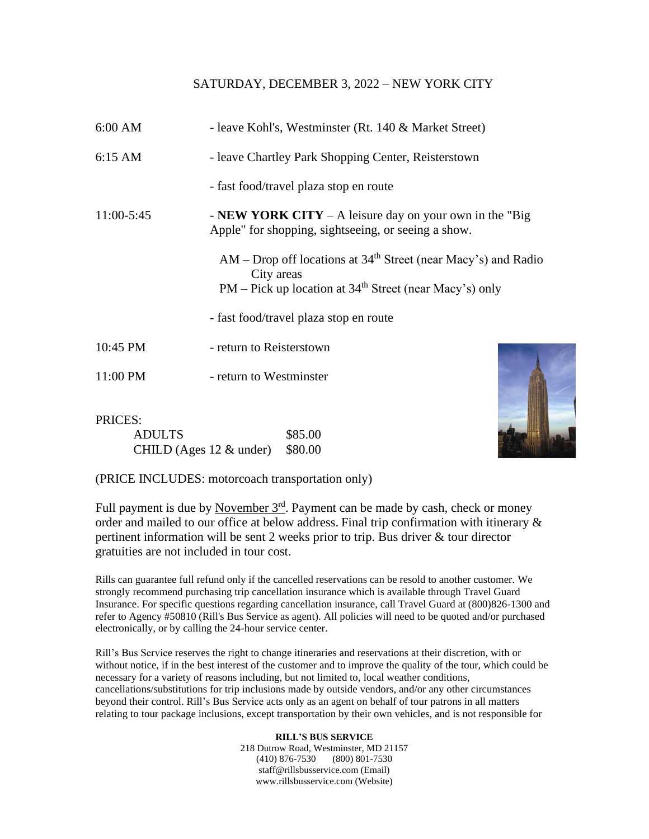## SATURDAY, DECEMBER 3, 2022 – NEW YORK CITY

| $6:00$ AM         | - leave Kohl's, Westminster (Rt. 140 & Market Street)                                                                                                               |
|-------------------|---------------------------------------------------------------------------------------------------------------------------------------------------------------------|
| $6:15 \text{ AM}$ | - leave Chartley Park Shopping Center, Reisterstown                                                                                                                 |
|                   | - fast food/travel plaza stop en route                                                                                                                              |
| 11:00-5:45        | - <b>NEW YORK CITY</b> – A leisure day on your own in the "Big"<br>Apple" for shopping, sightseeing, or seeing a show.                                              |
|                   | $AM - Drop$ off locations at 34 <sup>th</sup> Street (near Macy's) and Radio<br>City areas<br>$PM$ – Pick up location at 34 <sup>th</sup> Street (near Macy's) only |
|                   | - fast food/travel plaza stop en route                                                                                                                              |
| 10:45 PM          | - return to Reisterstown                                                                                                                                            |
| 11:00 PM          | - return to Westminster                                                                                                                                             |

## PRICES: ADULTS \$85.00 CHILD (Ages  $12 \&$  under) \$80.00



(PRICE INCLUDES: motorcoach transportation only)

Full payment is due by November 3<sup>rd</sup>. Payment can be made by cash, check or money order and mailed to our office at below address. Final trip confirmation with itinerary & pertinent information will be sent 2 weeks prior to trip. Bus driver & tour director gratuities are not included in tour cost.

Rills can guarantee full refund only if the cancelled reservations can be resold to another customer. We strongly recommend purchasing trip cancellation insurance which is available through Travel Guard Insurance. For specific questions regarding cancellation insurance, call Travel Guard at (800)826-1300 and refer to Agency #50810 (Rill's Bus Service as agent). All policies will need to be quoted and/or purchased electronically, or by calling the 24-hour service center.

Rill's Bus Service reserves the right to change itineraries and reservations at their discretion, with or without notice, if in the best interest of the customer and to improve the quality of the tour, which could be necessary for a variety of reasons including, but not limited to, local weather conditions, cancellations/substitutions for trip inclusions made by outside vendors, and/or any other circumstances beyond their control. Rill's Bus Service acts only as an agent on behalf of tour patrons in all matters relating to tour package inclusions, except transportation by their own vehicles, and is not responsible for

> **RILL'S BUS SERVICE** 218 Dutrow Road, Westminster, MD 21157 (410) 876-7530 (800) 801-7530 staff@rillsbusservice.com (Email) www.rillsbusservice.com (Website)